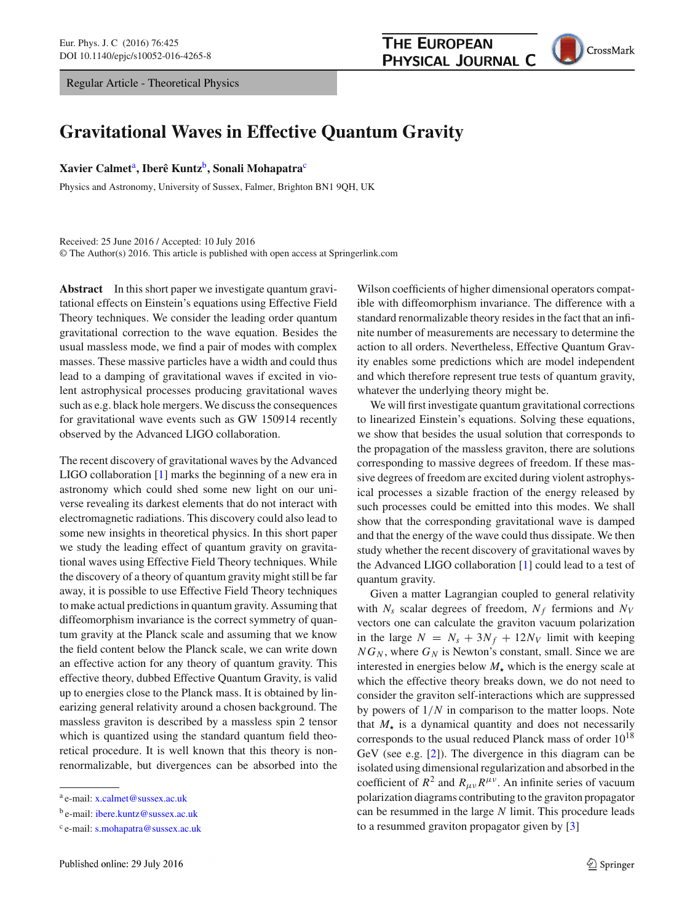Regular Article - Theoretical Physics

CrossMark

## **Gravitational Waves in Effective Quantum Gravity**

**Xavier Calmet**a**, Iberê Kuntz**b**, Sonali Mohapatra**<sup>c</sup>

Physics and Astronomy, University of Sussex, Falmer, Brighton BN1 9QH, UK

Received: 25 June 2016 / Accepted: 10 July 2016 © The Author(s) 2016. This article is published with open access at Springerlink.com

**Abstract** In this short paper we investigate quantum gravitational effects on Einstein's equations using Effective Field Theory techniques. We consider the leading order quantum gravitational correction to the wave equation. Besides the usual massless mode, we find a pair of modes with complex masses. These massive particles have a width and could thus lead to a damping of gravitational waves if excited in violent astrophysical processes producing gravitational waves such as e.g. black hole mergers. We discuss the consequences for gravitational wave events such as GW 150914 recently observed by the Advanced LIGO collaboration.

The recent discovery of gravitational waves by the Advanced LIGO collaboration [\[1\]](#page-3-0) marks the beginning of a new era in astronomy which could shed some new light on our universe revealing its darkest elements that do not interact with electromagnetic radiations. This discovery could also lead to some new insights in theoretical physics. In this short paper we study the leading effect of quantum gravity on gravitational waves using Effective Field Theory techniques. While the discovery of a theory of quantum gravity might still be far away, it is possible to use Effective Field Theory techniques to make actual predictions in quantum gravity. Assuming that diffeomorphism invariance is the correct symmetry of quantum gravity at the Planck scale and assuming that we know the field content below the Planck scale, we can write down an effective action for any theory of quantum gravity. This effective theory, dubbed Effective Quantum Gravity, is valid up to energies close to the Planck mass. It is obtained by linearizing general relativity around a chosen background. The massless graviton is described by a massless spin 2 tensor which is quantized using the standard quantum field theoretical procedure. It is well known that this theory is nonrenormalizable, but divergences can be absorbed into the

Wilson coefficients of higher dimensional operators compatible with diffeomorphism invariance. The difference with a standard renormalizable theory resides in the fact that an infinite number of measurements are necessary to determine the action to all orders. Nevertheless, Effective Quantum Gravity enables some predictions which are model independent and which therefore represent true tests of quantum gravity, whatever the underlying theory might be.

We will first investigate quantum gravitational corrections to linearized Einstein's equations. Solving these equations, we show that besides the usual solution that corresponds to the propagation of the massless graviton, there are solutions corresponding to massive degrees of freedom. If these massive degrees of freedom are excited during violent astrophysical processes a sizable fraction of the energy released by such processes could be emitted into this modes. We shall show that the corresponding gravitational wave is damped and that the energy of the wave could thus dissipate. We then study whether the recent discovery of gravitational waves by the Advanced LIGO collaboration [\[1](#page-3-0)] could lead to a test of quantum gravity.

Given a matter Lagrangian coupled to general relativity with  $N_s$  scalar degrees of freedom,  $N_f$  fermions and  $N_V$ vectors one can calculate the graviton vacuum polarization in the large  $N = N_s + 3N_f + 12N_V$  limit with keeping  $NG_N$ , where  $G_N$  is Newton's constant, small. Since we are interested in energies below  $M_{\star}$  which is the energy scale at which the effective theory breaks down, we do not need to consider the graviton self-interactions which are suppressed by powers of 1/*N* in comparison to the matter loops. Note that  $M_{\star}$  is a dynamical quantity and does not necessarily corresponds to the usual reduced Planck mass of order 10<sup>18</sup> GeV (see e.g. [\[2](#page-3-1)]). The divergence in this diagram can be isolated using dimensional regularization and absorbed in the coefficient of  $R^2$  and  $R_{\mu\nu}R^{\mu\nu}$ . An infinite series of vacuum polarization diagrams contributing to the graviton propagator can be resummed in the large *N* limit. This procedure leads to a resummed graviton propagator given by [\[3](#page-3-2)]

<sup>a</sup> e-mail: [x.calmet@sussex.ac.uk](mailto:x.calmet@sussex.ac.uk)

<sup>b</sup> e-mail: [ibere.kuntz@sussex.ac.uk](mailto:ibere.kuntz@sussex.ac.uk)

<sup>c</sup> e-mail: [s.mohapatra@sussex.ac.uk](mailto:s.mohapatra@sussex.ac.uk)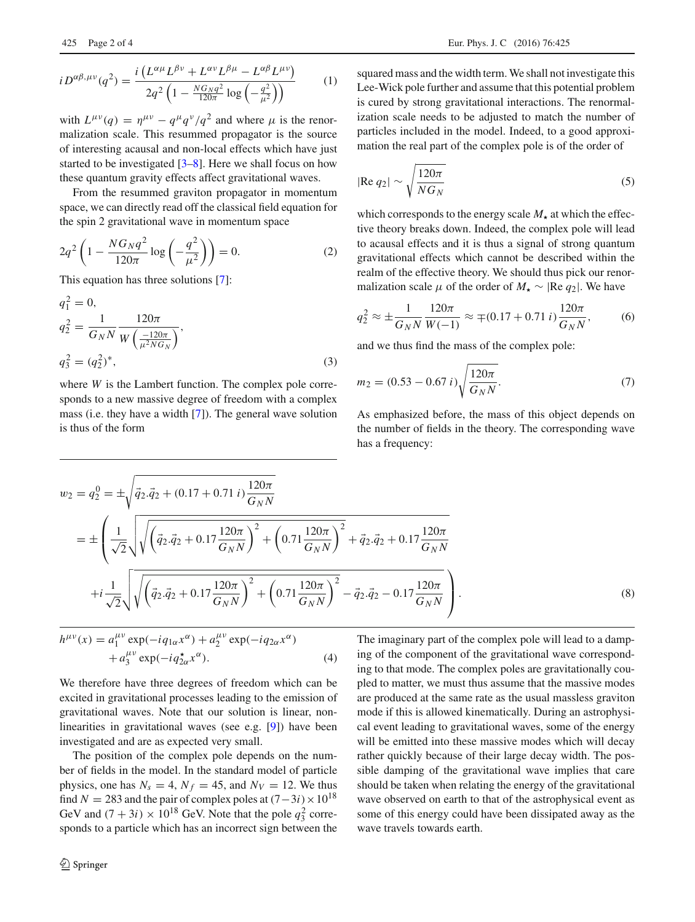$$
i D^{\alpha\beta,\mu\nu}(q^2) = \frac{i \left( L^{\alpha\mu} L^{\beta\nu} + L^{\alpha\nu} L^{\beta\mu} - L^{\alpha\beta} L^{\mu\nu} \right)}{2q^2 \left( 1 - \frac{N G_N q^2}{120\pi} \log \left( -\frac{q^2}{\mu^2} \right) \right)} \tag{1}
$$

with  $L^{\mu\nu}(q) = \eta^{\mu\nu} - q^{\mu}q^{\nu}/q^2$  and where  $\mu$  is the renormalization scale. This resummed propagator is the source of interesting acausal and non-local effects which have just started to be investigated [\[3](#page-3-2)[–8](#page-3-3)]. Here we shall focus on how these quantum gravity effects affect gravitational waves.

From the resummed graviton propagator in momentum space, we can directly read off the classical field equation for the spin 2 gravitational wave in momentum space

$$
2q^{2} \left( 1 - \frac{NG_{N}q^{2}}{120\pi} \log \left( -\frac{q^{2}}{\mu^{2}} \right) \right) = 0.
$$
 (2)

This equation has three solutions [\[7\]](#page-3-4):

$$
q_1^2 = 0,
$$
  
\n
$$
q_2^2 = \frac{1}{G_N N} \frac{120\pi}{W\left(\frac{-120\pi}{\mu^2 N G_N}\right)},
$$
  
\n
$$
q_3^2 = (q_2^2)^*,
$$
\n(3)

where *W* is the Lambert function. The complex pole corresponds to a new massive degree of freedom with a complex mass (i.e. they have a width [\[7](#page-3-4)]). The general wave solution is thus of the form

squared mass and the width term. We shall not investigate this Lee-Wick pole further and assume that this potential problem is cured by strong gravitational interactions. The renormalization scale needs to be adjusted to match the number of particles included in the model. Indeed, to a good approximation the real part of the complex pole is of the order of

$$
|\text{Re } q_2| \sim \sqrt{\frac{120\pi}{NG_N}}
$$
 (5)

which corresponds to the energy scale  $M_{\star}$  at which the effective theory breaks down. Indeed, the complex pole will lead to acausal effects and it is thus a signal of strong quantum gravitational effects which cannot be described within the realm of the effective theory. We should thus pick our renormalization scale  $\mu$  of the order of  $M_{\star} \sim |\text{Re } q_2|$ . We have

$$
q_2^2 \approx \pm \frac{1}{G_N N} \frac{120\pi}{W(-1)} \approx \mp (0.17 + 0.71 i) \frac{120\pi}{G_N N},
$$
 (6)

and we thus find the mass of the complex pole:

$$
m_2 = (0.53 - 0.67 i) \sqrt{\frac{120\pi}{G_N N}}.
$$
\n(7)

As emphasized before, the mass of this object depends on the number of fields in the theory. The corresponding wave has a frequency:

$$
w_2 = q_2^0 = \pm \sqrt{\vec{q}_2 \cdot \vec{q}_2 + (0.17 + 0.71 \, i) \frac{120\pi}{G_N N}}
$$
  
= 
$$
\pm \left( \frac{1}{\sqrt{2}} \sqrt{\sqrt{\left( \vec{q}_2 \cdot \vec{q}_2 + 0.17 \frac{120\pi}{G_N N} \right)^2 + \left( 0.71 \frac{120\pi}{G_N N} \right)^2 + \vec{q}_2 \cdot \vec{q}_2 + 0.17 \frac{120\pi}{G_N N}}
$$
  
+ 
$$
i \frac{1}{\sqrt{2}} \sqrt{\sqrt{\left( \vec{q}_2 \cdot \vec{q}_2 + 0.17 \frac{120\pi}{G_N N} \right)^2 + \left( 0.71 \frac{120\pi}{G_N N} \right)^2 - \vec{q}_2 \cdot \vec{q}_2 - 0.17 \frac{120\pi}{G_N N}} \right). \tag{8}
$$

$$
h^{\mu\nu}(x) = a_1^{\mu\nu} \exp(-iq_{1\alpha}x^{\alpha}) + a_2^{\mu\nu} \exp(-iq_{2\alpha}x^{\alpha}) + a_3^{\mu\nu} \exp(-iq_{2\alpha}x^{\alpha}).
$$
 (4)

We therefore have three degrees of freedom which can be excited in gravitational processes leading to the emission of gravitational waves. Note that our solution is linear, nonlinearities in gravitational waves (see e.g. [\[9\]](#page-3-5)) have been investigated and are as expected very small.

The position of the complex pole depends on the number of fields in the model. In the standard model of particle physics, one has  $N_s = 4$ ,  $N_f = 45$ , and  $N_V = 12$ . We thus find *N* = 283 and the pair of complex poles at  $(7-3i) \times 10^{18}$ GeV and  $(7 + 3i) \times 10^{18}$  GeV. Note that the pole  $q_3^2$  corresponds to a particle which has an incorrect sign between the The imaginary part of the complex pole will lead to a damping of the component of the gravitational wave corresponding to that mode. The complex poles are gravitationally coupled to matter, we must thus assume that the massive modes are produced at the same rate as the usual massless graviton mode if this is allowed kinematically. During an astrophysical event leading to gravitational waves, some of the energy will be emitted into these massive modes which will decay rather quickly because of their large decay width. The possible damping of the gravitational wave implies that care should be taken when relating the energy of the gravitational wave observed on earth to that of the astrophysical event as some of this energy could have been dissipated away as the wave travels towards earth.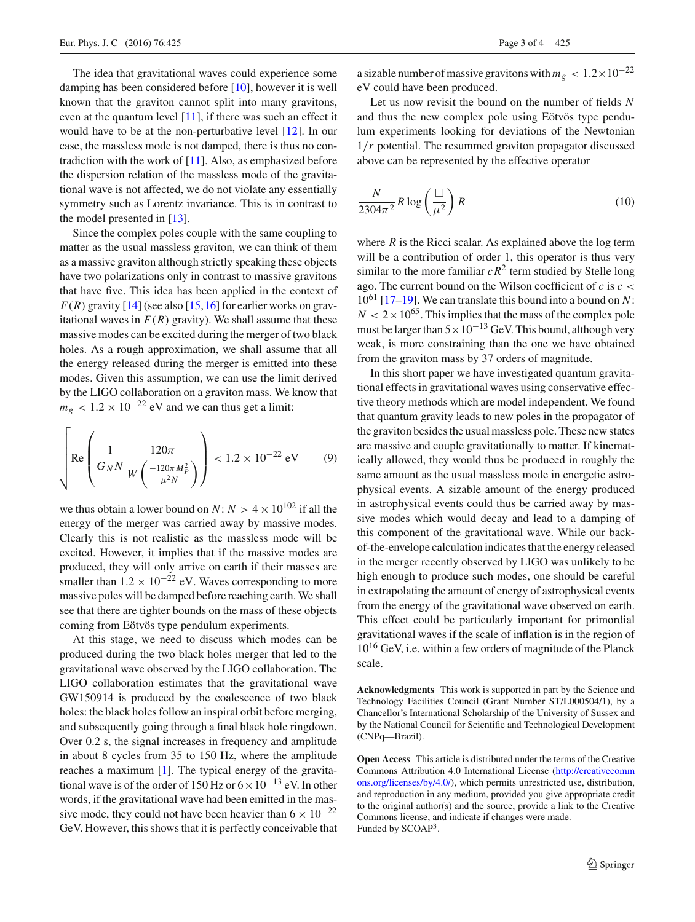The idea that gravitational waves could experience some damping has been considered before [\[10](#page-3-6)], however it is well known that the graviton cannot split into many gravitons, even at the quantum level [\[11\]](#page-3-7), if there was such an effect it would have to be at the non-perturbative level [\[12](#page-3-8)]. In our case, the massless mode is not damped, there is thus no contradiction with the work of [\[11](#page-3-7)]. Also, as emphasized before the dispersion relation of the massless mode of the gravitational wave is not affected, we do not violate any essentially symmetry such as Lorentz invariance. This is in contrast to the model presented in [\[13](#page-3-9)].

Since the complex poles couple with the same coupling to matter as the usual massless graviton, we can think of them as a massive graviton although strictly speaking these objects have two polarizations only in contrast to massive gravitons that have five. This idea has been applied in the context of  $F(R)$  gravity  $[14]$  $[14]$  (see also  $[15, 16]$  $[15, 16]$  for earlier works on gravitational waves in  $F(R)$  gravity). We shall assume that these massive modes can be excited during the merger of two black holes. As a rough approximation, we shall assume that all the energy released during the merger is emitted into these modes. Given this assumption, we can use the limit derived by the LIGO collaboration on a graviton mass. We know that  $m<sub>g</sub> < 1.2 \times 10^{-22}$  eV and we can thus get a limit:

$$
\sqrt{\text{Re}\left(\frac{1}{G_N N}\frac{120\pi}{W\left(\frac{-120\pi M_P^2}{\mu^2 N}\right)}\right)} < 1.2 \times 10^{-22} \text{ eV} \tag{9}
$$

we thus obtain a lower bound on *N*:  $N > 4 \times 10^{102}$  if all the energy of the merger was carried away by massive modes. Clearly this is not realistic as the massless mode will be excited. However, it implies that if the massive modes are produced, they will only arrive on earth if their masses are smaller than  $1.2 \times 10^{-22}$  eV. Waves corresponding to more massive poles will be damped before reaching earth. We shall see that there are tighter bounds on the mass of these objects coming from Eötvös type pendulum experiments.

At this stage, we need to discuss which modes can be produced during the two black holes merger that led to the gravitational wave observed by the LIGO collaboration. The LIGO collaboration estimates that the gravitational wave GW150914 is produced by the coalescence of two black holes: the black holes follow an inspiral orbit before merging, and subsequently going through a final black hole ringdown. Over 0.2 s, the signal increases in frequency and amplitude in about 8 cycles from 35 to 150 Hz, where the amplitude reaches a maximum [\[1\]](#page-3-0). The typical energy of the gravitational wave is of the order of 150 Hz or  $6 \times 10^{-13}$  eV. In other words, if the gravitational wave had been emitted in the massive mode, they could not have been heavier than  $6 \times 10^{-22}$ GeV. However, this shows that it is perfectly conceivable that

a sizable number of massive gravitons with  $m_g < 1.2 \times 10^{-22}$ eV could have been produced.

Let us now revisit the bound on the number of fields *N* and thus the new complex pole using Eötvös type pendulum experiments looking for deviations of the Newtonian 1/*r* potential. The resummed graviton propagator discussed above can be represented by the effective operator

$$
\frac{N}{2304\pi^2} R \log\left(\frac{\Box}{\mu^2}\right) R \tag{10}
$$

where  $R$  is the Ricci scalar. As explained above the log term will be a contribution of order 1, this operator is thus very similar to the more familiar  $cR^2$  term studied by Stelle long ago. The current bound on the Wilson coefficient of  $c$  is  $c <$ 10<sup>61</sup> [\[17](#page-3-13)[–19](#page-3-14)]. We can translate this bound into a bound on *N*:  $N < 2 \times 10^{65}$ . This implies that the mass of the complex pole must be larger than  $5 \times 10^{-13}$  GeV. This bound, although very weak, is more constraining than the one we have obtained from the graviton mass by 37 orders of magnitude.

In this short paper we have investigated quantum gravitational effects in gravitational waves using conservative effective theory methods which are model independent. We found that quantum gravity leads to new poles in the propagator of the graviton besides the usual massless pole. These new states are massive and couple gravitationally to matter. If kinematically allowed, they would thus be produced in roughly the same amount as the usual massless mode in energetic astrophysical events. A sizable amount of the energy produced in astrophysical events could thus be carried away by massive modes which would decay and lead to a damping of this component of the gravitational wave. While our backof-the-envelope calculation indicates that the energy released in the merger recently observed by LIGO was unlikely to be high enough to produce such modes, one should be careful in extrapolating the amount of energy of astrophysical events from the energy of the gravitational wave observed on earth. This effect could be particularly important for primordial gravitational waves if the scale of inflation is in the region of  $10^{16}$  GeV, i.e. within a few orders of magnitude of the Planck scale.

**Acknowledgments** This work is supported in part by the Science and Technology Facilities Council (Grant Number ST/L000504/1), by a Chancellor's International Scholarship of the University of Sussex and by the National Council for Scientific and Technological Development (CNPq—Brazil).

**Open Access** This article is distributed under the terms of the Creative Commons Attribution 4.0 International License [\(http://creativecomm](http://creativecommons.org/licenses/by/4.0/) [ons.org/licenses/by/4.0/\)](http://creativecommons.org/licenses/by/4.0/), which permits unrestricted use, distribution, and reproduction in any medium, provided you give appropriate credit to the original author(s) and the source, provide a link to the Creative Commons license, and indicate if changes were made. Funded by SCOAP<sup>3</sup>.